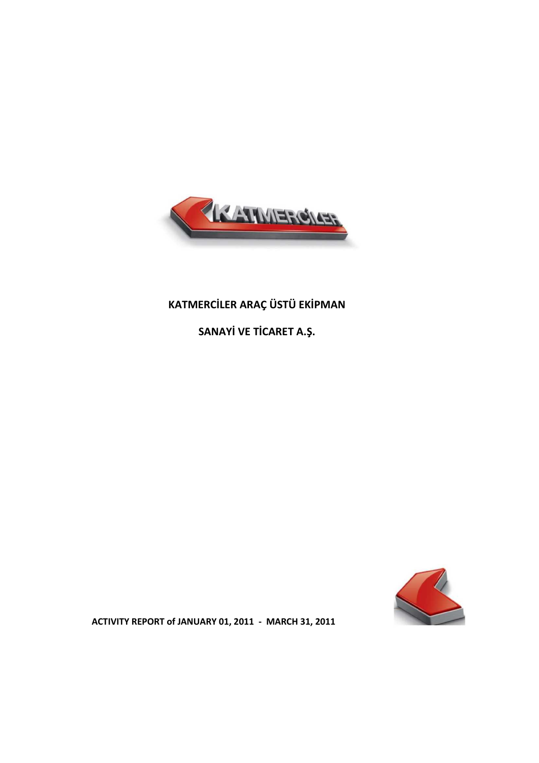

# **KATMERCİLER ARAÇ ÜSTÜ EKİPMAN**

**SANAYİ VE TİCARET A.Ş.**



**ACTIVITY REPORT of JANUARY 01, 2011 - MARCH 31, 2011**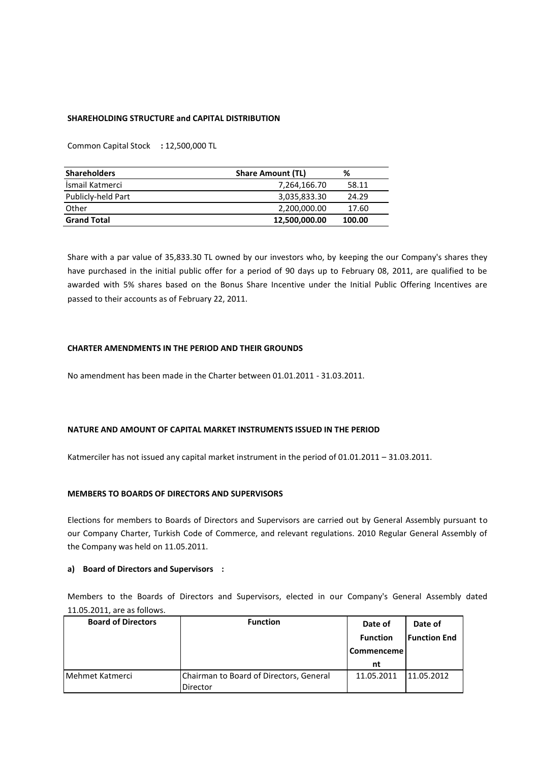# **SHAREHOLDING STRUCTURE and CAPITAL DISTRIBUTION**

Common Capital Stock **:** 12,500,000 TL

| <b>Shareholders</b> | <b>Share Amount (TL)</b> | %      |
|---------------------|--------------------------|--------|
| İsmail Katmerci     | 7,264,166.70             | 58.11  |
| Publicly-held Part  | 3,035,833.30             | 24.29  |
| Other               | 2,200,000.00             | 17.60  |
| <b>Grand Total</b>  | 12,500,000.00            | 100.00 |

Share with a par value of 35,833.30 TL owned by our investors who, by keeping the our Company's shares they have purchased in the initial public offer for a period of 90 days up to February 08, 2011, are qualified to be awarded with 5% shares based on the Bonus Share Incentive under the Initial Public Offering Incentives are passed to their accounts as of February 22, 2011.

# **CHARTER AMENDMENTS IN THE PERIOD AND THEIR GROUNDS**

No amendment has been made in the Charter between 01.01.2011 - 31.03.2011.

# **NATURE AND AMOUNT OF CAPITAL MARKET INSTRUMENTS ISSUED IN THE PERIOD**

Katmerciler has not issued any capital market instrument in the period of 01.01.2011 – 31.03.2011.

# **MEMBERS TO BOARDS OF DIRECTORS AND SUPERVISORS**

Elections for members to Boards of Directors and Supervisors are carried out by General Assembly pursuant to our Company Charter, Turkish Code of Commerce, and relevant regulations. 2010 Regular General Assembly of the Company was held on 11.05.2011.

# **a) Board of Directors and Supervisors :**

Members to the Boards of Directors and Supervisors, elected in our Company's General Assembly dated 11.05.2011, are as follows.

| <b>Board of Directors</b> | <b>Function</b>                                     | Date of           | Date of             |
|---------------------------|-----------------------------------------------------|-------------------|---------------------|
|                           |                                                     | <b>Function</b>   | <b>Function End</b> |
|                           |                                                     | <b>Commenceme</b> |                     |
|                           |                                                     | nt                |                     |
| Mehmet Katmerci           | Chairman to Board of Directors, General<br>Director | 11.05.2011        | 11.05.2012          |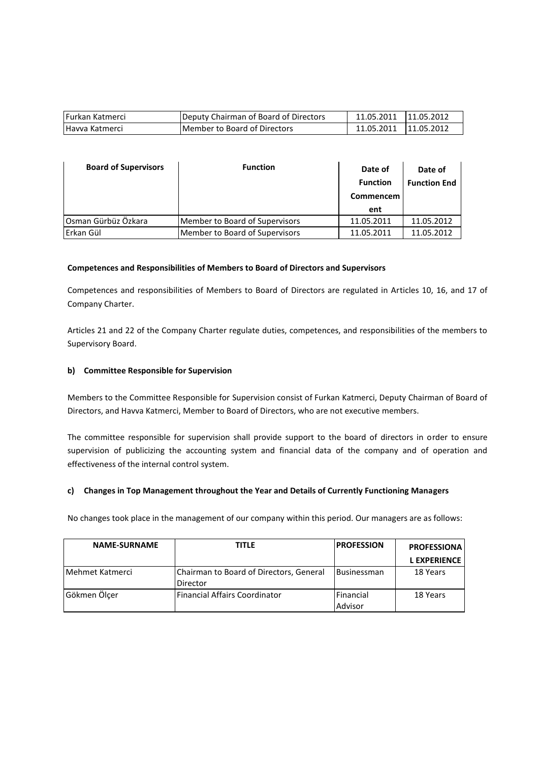| <b>Furkan Katmerci</b> | Deputy Chairman of Board of Directors | 11.05.2011   11.05.2012 |  |
|------------------------|---------------------------------------|-------------------------|--|
| Havva Katmerci         | Member to Board of Directors          | 11.05.2011   11.05.2012 |  |

| <b>Board of Supervisors</b> | <b>Function</b>                | Date of          | Date of             |
|-----------------------------|--------------------------------|------------------|---------------------|
|                             |                                | <b>Function</b>  | <b>Function End</b> |
|                             |                                | <b>Commencem</b> |                     |
|                             |                                | ent              |                     |
| Osman Gürbüz Özkara         | Member to Board of Supervisors | 11.05.2011       | 11.05.2012          |
| Erkan Gül                   | Member to Board of Supervisors | 11.05.2011       | 11.05.2012          |

# **Competences and Responsibilities of Members to Board of Directors and Supervisors**

Competences and responsibilities of Members to Board of Directors are regulated in Articles 10, 16, and 17 of Company Charter.

Articles 21 and 22 of the Company Charter regulate duties, competences, and responsibilities of the members to Supervisory Board.

# **b) Committee Responsible for Supervision**

Members to the Committee Responsible for Supervision consist of Furkan Katmerci, Deputy Chairman of Board of Directors, and Havva Katmerci, Member to Board of Directors, who are not executive members.

The committee responsible for supervision shall provide support to the board of directors in order to ensure supervision of publicizing the accounting system and financial data of the company and of operation and effectiveness of the internal control system.

# **c) Changes in Top Management throughout the Year and Details of Currently Functioning Managers**

No changes took place in the management of our company within this period. Our managers are as follows:

| <b>NAME-SURNAME</b> | <b>TITLE</b>                                        | <b>PROFESSION</b>           | <b>PROFESSIONA</b> |
|---------------------|-----------------------------------------------------|-----------------------------|--------------------|
|                     |                                                     |                             | <b>LEXPERIENCE</b> |
| Mehmet Katmerci     | Chairman to Board of Directors, General<br>Director | <b>Businessman</b>          | 18 Years           |
| Gökmen Ölçer        | Financial Affairs Coordinator                       | <b>Financial</b><br>Advisor | 18 Years           |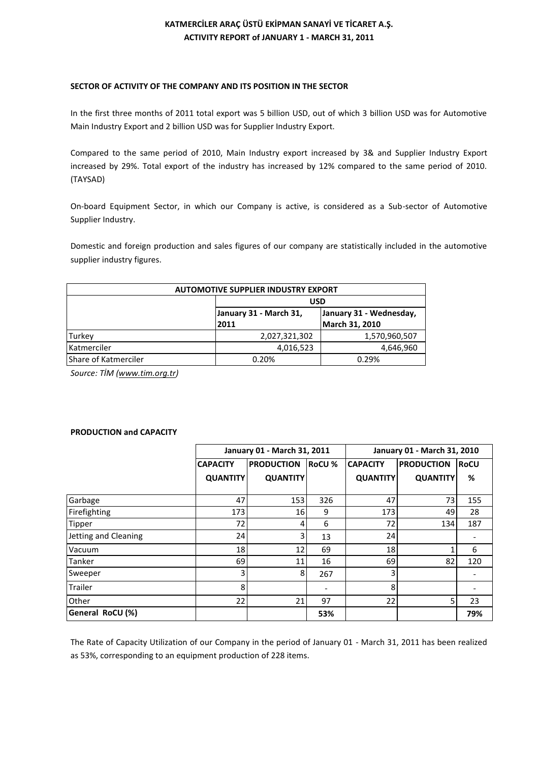# **KATMERCİLER ARAÇ ÜSTÜ EKİPMAN SANAYİ VE TİCARET A.Ş. ACTIVITY REPORT of JANUARY 1 - MARCH 31, 2011**

# **SECTOR OF ACTIVITY OF THE COMPANY AND ITS POSITION IN THE SECTOR**

In the first three months of 2011 total export was 5 billion USD, out of which 3 billion USD was for Automotive Main Industry Export and 2 billion USD was for Supplier Industry Export.

Compared to the same period of 2010, Main Industry export increased by 3& and Supplier Industry Export increased by 29%. Total export of the industry has increased by 12% compared to the same period of 2010. (TAYSAD)

On-board Equipment Sector, in which our Company is active, is considered as a Sub-sector of Automotive Supplier Industry.

Domestic and foreign production and sales figures of our company are statistically included in the automotive supplier industry figures.

| <b>AUTOMOTIVE SUPPLIER INDUSTRY EXPORT</b> |                                                   |                |  |  |
|--------------------------------------------|---------------------------------------------------|----------------|--|--|
|                                            | <b>USD</b>                                        |                |  |  |
|                                            | January 31 - March 31,<br>January 31 - Wednesday, |                |  |  |
|                                            | 2011                                              | March 31, 2010 |  |  |
| Turkey                                     | 2,027,321,302                                     | 1,570,960,507  |  |  |
| Katmerciler                                | 4,016,523                                         | 4,646,960      |  |  |
| Share of Katmerciler                       | 0.20%                                             | 0.29%          |  |  |

*Source: TİM ([www.tim.org.tr\)](http://www.tim.org.tr/)*

# **PRODUCTION and CAPACITY**

|                      | January 01 - March 31, 2011 |                   | January 01 - March 31, 2010 |                 |                   |             |
|----------------------|-----------------------------|-------------------|-----------------------------|-----------------|-------------------|-------------|
|                      | <b>CAPACITY</b>             | <b>PRODUCTION</b> | <b>RoCU %</b>               | <b>CAPACITY</b> | <b>PRODUCTION</b> | <b>RoCU</b> |
|                      | <b>QUANTITY</b>             | <b>QUANTITY</b>   |                             | <b>QUANTITY</b> | <b>QUANTITY</b>   | %           |
| Garbage              | 47                          | 153               | 326                         | 47              | 73                | 155         |
| Firefighting         | 173                         | 16                | 9                           | 173             | 49                | 28          |
| Tipper               | 72                          | 4                 | 6                           | 72              | 134               | 187         |
| Jetting and Cleaning | 24                          | 3                 | 13                          | 24              |                   |             |
| Vacuum               | 18                          | 12                | 69                          | 18              |                   | 6           |
| Tanker               | 69                          | 11                | 16                          | 69              | 82                | 120         |
| Sweeper              | 3                           | 8                 | 267                         | 3               |                   |             |
| <b>Trailer</b>       | 8                           |                   | $\overline{\phantom{a}}$    | 8               |                   |             |
| Other                | 22                          | 21                | 97                          | 22              | 5.                | 23          |
| General RoCU (%)     |                             |                   | 53%                         |                 |                   | 79%         |

The Rate of Capacity Utilization of our Company in the period of January 01 - March 31, 2011 has been realized as 53%, corresponding to an equipment production of 228 items.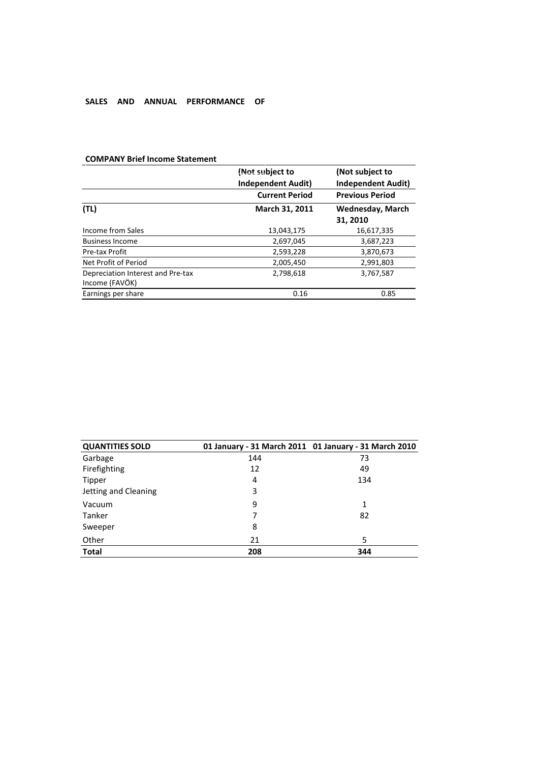# **SALES AND ANNUAL PERFORMANCE OF**

|                                                     | (Not subject to<br><b>Independent Audit)</b> | (Not subject to<br><b>Independent Audit)</b> |
|-----------------------------------------------------|----------------------------------------------|----------------------------------------------|
|                                                     | <b>Current Period</b>                        | <b>Previous Period</b>                       |
| (TL)                                                | March 31, 2011                               | <b>Wednesday, March</b>                      |
|                                                     |                                              | 31, 2010                                     |
| Income from Sales                                   | 13,043,175                                   | 16,617,335                                   |
| <b>Business Income</b>                              | 2,697,045                                    | 3,687,223                                    |
| Pre-tax Profit                                      | 2,593,228                                    | 3,870,673                                    |
| Net Profit of Period                                | 2,005,450                                    | 2,991,803                                    |
| Depreciation Interest and Pre-tax<br>Income (FAVÖK) | 2,798,618                                    | 3,767,587                                    |
| Earnings per share                                  | 0.16                                         | 0.85                                         |

# **COMPANY Brief Income Statement**

| <b>QUANTITIES SOLD</b> |     | 01 January - 31 March 2011 01 January - 31 March 2010 |
|------------------------|-----|-------------------------------------------------------|
| Garbage                | 144 | 73                                                    |
| Firefighting           | 12  | 49                                                    |
| <b>Tipper</b>          | 4   | 134                                                   |
| Jetting and Cleaning   | 3   |                                                       |
| Vacuum                 | 9   | 1                                                     |
| Tanker                 |     | 82                                                    |
| Sweeper                | 8   |                                                       |
| Other                  | 21  | 5                                                     |
| <b>Total</b>           | 208 | 344                                                   |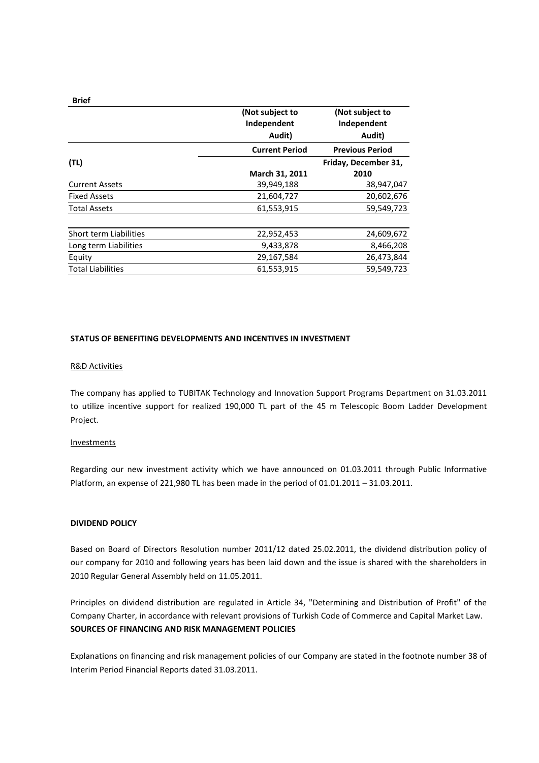|                               | (Not subject to<br>Independent<br>Audit) | (Not subject to<br>Independent<br>Audit) |
|-------------------------------|------------------------------------------|------------------------------------------|
|                               | <b>Current Period</b>                    | <b>Previous Period</b>                   |
| (TL)                          |                                          | Friday, December 31,                     |
|                               | March 31, 2011                           | 2010                                     |
| <b>Current Assets</b>         | 39,949,188                               | 38,947,047                               |
| <b>Fixed Assets</b>           | 21,604,727                               | 20,602,676                               |
| <b>Total Assets</b>           | 61,553,915                               | 59,549,723                               |
| <b>Short term Liabilities</b> | 22,952,453                               | 24,609,672                               |
| Long term Liabilities         | 9,433,878                                | 8,466,208                                |
| Equity                        | 29,167,584                               | 26,473,844                               |
| <b>Total Liabilities</b>      | 61,553,915                               | 59,549,723                               |

# **STATUS OF BENEFITING DEVELOPMENTS AND INCENTIVES IN INVESTMENT**

#### R&D Activities

The company has applied to TUBITAK Technology and Innovation Support Programs Department on 31.03.2011 to utilize incentive support for realized 190,000 TL part of the 45 m Telescopic Boom Ladder Development Project.

#### Investments

Regarding our new investment activity which we have announced on 01.03.2011 through Public Informative Platform, an expense of 221,980 TL has been made in the period of 01.01.2011 – 31.03.2011.

# **DIVIDEND POLICY**

Based on Board of Directors Resolution number 2011/12 dated 25.02.2011, the dividend distribution policy of our company for 2010 and following years has been laid down and the issue is shared with the shareholders in 2010 Regular General Assembly held on 11.05.2011.

Principles on dividend distribution are regulated in Article 34, "Determining and Distribution of Profit" of the Company Charter, in accordance with relevant provisions of Turkish Code of Commerce and Capital Market Law. **SOURCES OF FINANCING AND RISK MANAGEMENT POLICIES**

Explanations on financing and risk management policies of our Company are stated in the footnote number 38 of Interim Period Financial Reports dated 31.03.2011.

**Brief**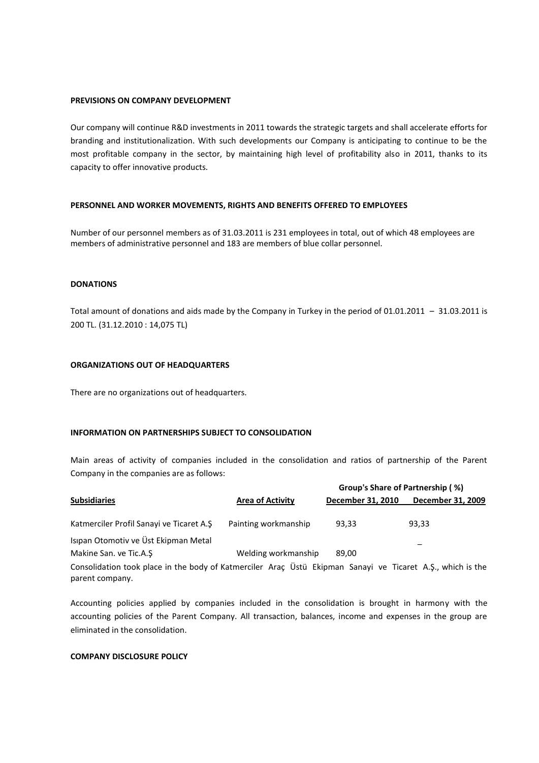#### **PREVISIONS ON COMPANY DEVELOPMENT**

Our company will continue R&D investments in 2011 towards the strategic targets and shall accelerate efforts for branding and institutionalization. With such developments our Company is anticipating to continue to be the most profitable company in the sector, by maintaining high level of profitability also in 2011, thanks to its capacity to offer innovative products.

# **PERSONNEL AND WORKER MOVEMENTS, RIGHTS AND BENEFITS OFFERED TO EMPLOYEES**

Number of our personnel members as of 31.03.2011 is 231 employees in total, out of which 48 employees are members of administrative personnel and 183 are members of blue collar personnel.

# **DONATIONS**

Total amount of donations and aids made by the Company in Turkey in the period of 01.01.2011 – 31.03.2011 is 200 TL. (31.12.2010 : 14,075 TL)

# **ORGANIZATIONS OUT OF HEADQUARTERS**

There are no organizations out of headquarters.

# **INFORMATION ON PARTNERSHIPS SUBJECT TO CONSOLIDATION**

Main areas of activity of companies included in the consolidation and ratios of partnership of the Parent Company in the companies are as follows:

|                                                                                                            |                         | Group's Share of Partnership (%) |                   |
|------------------------------------------------------------------------------------------------------------|-------------------------|----------------------------------|-------------------|
| <b>Subsidiaries</b>                                                                                        | <b>Area of Activity</b> | December 31, 2010                | December 31, 2009 |
| Katmerciler Profil Sanayi ve Ticaret A.Ş                                                                   | Painting workmanship    | 93,33                            | 93,33             |
| Isıpan Otomotiv ve Üst Ekipman Metal                                                                       |                         |                                  |                   |
| Makine San. ve Tic.A.S                                                                                     | Welding workmanship     | 89.00                            |                   |
| Consolidation took place in the body of Katmerciler Araç Üstü Ekipman Sanayi ve Ticaret A.Ş., which is the |                         |                                  |                   |

parent company.

Accounting policies applied by companies included in the consolidation is brought in harmony with the accounting policies of the Parent Company. All transaction, balances, income and expenses in the group are eliminated in the consolidation.

# **COMPANY DISCLOSURE POLICY**